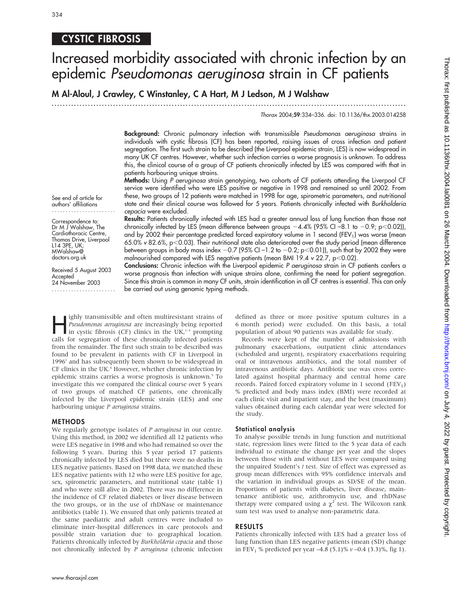### CYSTIC FIBROSIS

# Increased morbidity associated with chronic infection by an epidemic Pseudomonas aeruginosa strain in CF patients

M Al-Aloul, J Crawley, C Winstanley, C A Hart, M J Ledson, M J Walshaw

.............................................................................................................................. .

Thorax 2004;59:334–336. doi: 10.1136/thx.2003.014258

Background: Chronic pulmonary infection with transmissible Pseudomonas aeruginosa strains in individuals with cystic fibrosis (CF) has been reported, raising issues of cross infection and patient segregation. The first such strain to be described (the Liverpool epidemic strain, LES) is now widespread in many UK CF centres. However, whether such infection carries a worse prognosis is unknown. To address this, the clinical course of a group of CF patients chronically infected by LES was compared with that in patients harbouring unique strains.

Methods: Using P aeruginosa strain genotyping, two cohorts of CF patients attending the Liverpool CF service were identified who were LES positive or negative in 1998 and remained so until 2002. From these, two groups of 12 patients were matched in 1998 for age, spirometric parameters, and nutritional state and their clinical course was followed for 5 years. Patients chronically infected with Burkholderia cepacia were excluded.

See end of article for authors' affiliations .......................

Correspondence to: Dr M J Walshaw, The Cardiothoracic Centre, Thomas Drive, Liverpool L14 3PE, UK; MWalshaw@ doctors.org.uk

Received 5 August 2003 Accepted 24 November 2003 .......................

Results: Patients chronically infected with LES had a greater annual loss of lung function than those not chronically infected by LES (mean difference between groups  $-4.4\%$  (95% CI –8.1 to  $-0.9$ ; p $<$ 0.02)), and by 2002 their percentage predicted forced expiratory volume in 1 second (FEV<sub>1</sub>) was worse (mean 65.0% v 82.6%, p<0.03). Their nutritional state also deteriorated over the study period (mean difference between groups in body mass index  $-0.7$  (95% CI –1.2 to  $-0.2$ ; p $<$ 0.01)), such that by 2002 they were malnourished compared with LES negative patients (mean BMI 19.4 v 22.7, p<0.02).

Conclusions: Chronic infection with the Liverpool epidemic P aeruginosa strain in CF patients confers a worse prognosis than infection with unique strains alone, confirming the need for patient segregation. Since this strain is common in many CF units, strain identification in all CF centres is essential. This can only be carried out using genomic typing methods.

Fighly transmissible and often multiresistant strains of<br> *Pseudomonas aeruginosa* are increasingly being reported<br>
in cystic fibrosis (CF) clinics in the UK,<sup>1–3</sup> prompting<br>
calls for segregation of these chronically infe Pseudomonas aeruginosa are increasingly being reported calls for segregation of these chronically infected patients from the remainder. The first such strain to be described was found to be prevalent in patients with CF in Liverpool in  $1996<sup>1</sup>$  and has subsequently been shown to be widespread in CF clinics in the UK.<sup>4</sup> However, whether chronic infection by epidemic strains carries a worse prognosis is unknown.<sup>5</sup> To investigate this we compared the clinical course over 5 years of two groups of matched CF patients, one chronically infected by the Liverpool epidemic strain (LES) and one harbouring unique P aeruginosa strains.

#### METHODS

We regularly genotype isolates of *P aeruginosa* in our centre. Using this method, in 2002 we identified all 12 patients who were LES negative in 1998 and who had remained so over the following 5 years. During this 5 year period 17 patients chronically infected by LES died but there were no deaths in LES negative patients. Based on 1998 data, we matched these LES negative patients with 12 who were LES positive for age, sex, spirometric parameters, and nutritional state (table 1) and who were still alive in 2002. There was no difference in the incidence of CF related diabetes or liver disease between the two groups, or in the use of rhDNase or maintenance antibiotics (table 1). We ensured that only patients treated at the same paediatric and adult centres were included to eliminate inter-hospital differences in care protocols and possible strain variation due to geographical location. Patients chronically infected by Burkholderia cepacia and those not chronically infected by P aeruginosa (chronic infection defined as three or more positive sputum cultures in a 6 month period) were excluded. On this basis, a total population of about 90 patients was available for study.

Records were kept of the number of admissions with pulmonary exacerbations, outpatient clinic attendances (scheduled and urgent), respiratory exacerbations requiring oral or intravenous antibiotics, and the total number of intravenous antibiotic days. Antibiotic use was cross correlated against hospital pharmacy and central home care records. Paired forced expiratory volume in 1 second  $(FEV<sub>1</sub>)$ % predicted and body mass index (BMI) were recorded at each clinic visit and inpatient stay, and the best (maximum) values obtained during each calendar year were selected for the study.

#### Statistical analysis

To analyse possible trends in lung function and nutritional state, regression lines were fitted to the 5 year data of each individual to estimate the change per year and the slopes between those with and without LES were compared using the unpaired Student's t test. Size of effect was expressed as group mean differences with 95% confidence intervals and the variation in individual groups as SD/SE of the mean. Proportions of patients with diabetes, liver disease, maintenance antibiotic use, azithromycin use, and rhDNase therapy were compared using a  $\chi^2$  test. The Wilcoxon rank sum test was used to analyse non-parametric data.

#### RESULTS

Patients chronically infected with LES had a greater loss of lung function than LES negative patients (mean (SD) change in FEV<sub>1</sub> % predicted per year -4.8 (5.1)%  $v$  -0.4 (3.3)%, fig 1).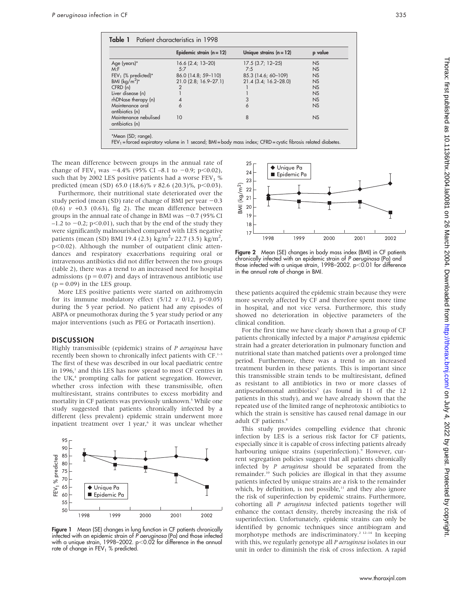|                                          | Epidemic strain $(n = 12)$ | Unique strains $(n = 12)$ | p value   |
|------------------------------------------|----------------------------|---------------------------|-----------|
| Age (years)*                             | $16.6$ (2.4; 13-20)        | $17.5$ (3.7; 12-25)       | <b>NS</b> |
| M: F                                     | 5:7                        | 7:5                       | NS        |
| FEV <sub>1</sub> (% predicted)*          | 86.0 (14.8; 59-110)        | 85.3 (14.6; 60-109)       | NS        |
| BMI $(kq/m^2)^*$                         | 21.0 (2.8; 16.9-27.1)      | $21.4$ (3.4; 16.2-28.0)   | NS        |
| CFRD(n)                                  | $\overline{2}$             |                           | NS        |
| Liver disease (n)                        |                            |                           | NS        |
| rhDNase therapy (n)                      | 4                          | 3                         | NS        |
| Maintenance oral<br>antibiotics (n)      | 6                          | 6                         | NS        |
| Maintenance nebulised<br>antibiotics (n) | 10                         | 8                         | NS        |

The mean difference between groups in the annual rate of change of FEV<sub>1</sub> was  $-4.4\%$  (95% CI –8.1 to -0.9; p $< 0.02$ ), such that by 2002 LES positive patients had a worse  $FEV<sub>1</sub>$  % predicted (mean (SD) 65.0 (18.6)%  $v$  82.6 (20.3)%, p<0.03).

Furthermore, their nutritional state deteriorated over the study period (mean (SD) rate of change of BMI per year  $-0.3$ (0.6)  $v$  +0.3 (0.63), fig 2). The mean difference between groups in the annual rate of change in BMI was  $-0.7$  (95% CI  $-1.2$  to  $-0.2$ ; p $\leq 0.01$ ), such that by the end of the study they were significantly malnourished compared with LES negative patients (mean (SD) BMI 19.4 (2.3) kg/m<sup>2</sup> $v$  22.7 (3.5) kg/m<sup>2</sup>,  $p<0.02$ ). Although the number of outpatient clinic attendances and respiratory exacerbations requiring oral or intravenous antibiotics did not differ between the two groups (table 2), there was a trend to an increased need for hospital admissions ( $p = 0.07$ ) and days of intravenous antibiotic use  $(p = 0.09)$  in the LES group.

More LES positive patients were started on azithromycin for its immune modulatory effect  $(5/12 \ v \ 0/12, \ p<0.05)$ during the 5 year period. No patient had any episodes of ABPA or pneumothorax during the 5 year study period or any major interventions (such as PEG or Portacath insertion).

#### **DISCUSSION**

Highly transmissible (epidemic) strains of P aeruginosa have recently been shown to chronically infect patients with CF.<sup>1-3</sup> The first of these was described in our local paediatric centre in 1996,<sup>1</sup> and this LES has now spread to most CF centres in the UK $<sup>4</sup>$  prompting calls for patient segregation. However,</sup> whether cross infection with these transmissible, often multiresistant, strains contributes to excess morbidity and mortality in CF patients was previously unknown.<sup>5</sup> While one study suggested that patients chronically infected by a different (less prevalent) epidemic strain underwent more inpatient treatment over 1 year,<sup>6</sup> it was unclear whether



Figure 1 Mean (SE) changes in lung function in CF patients chronically infected with an epidemic strain of P aeruginosa (Pa) and those infected with a unique strain, 1998–2002.  $p<0.02$  for difference in the annual rate of change in  $FEV<sub>1</sub>$  % predicted.



Figure 2 Mean (SE) changes in body mass index (BMI) in CF patients chronically infected with an epidemic strain of P aeruginosa (Pa) and those infected with a unique strain, 1998–2002.  $p< 0.01$  for difference in the annual rate of change in BMI.

these patients acquired the epidemic strain because they were more severely affected by CF and therefore spent more time in hospital, and not vice versa. Furthermore, this study showed no deterioration in objective parameters of the clinical condition.

For the first time we have clearly shown that a group of CF patients chronically infected by a major P aeruginosa epidemic strain had a greater deterioration in pulmonary function and nutritional state than matched patients over a prolonged time period. Furthermore, there was a trend to an increased treatment burden in these patients. This is important since this transmissible strain tends to be multiresistant, defined as resistant to all antibiotics in two or more classes of antipseudomonal antibiotics<sup>7</sup> (as found in  $11$  of the  $12$ patients in this study), and we have already shown that the repeated use of the limited range of nephrotoxic antibiotics to which the strain is sensitive has caused renal damage in our adult CF patients.<sup>8</sup>

This study provides compelling evidence that chronic infection by LES is a serious risk factor for CF patients, especially since it is capable of cross infecting patients already harbouring unique strains (superinfection).<sup>9</sup> However, current segregation policies suggest that all patients chronically infected by P aeruginosa should be separated from the remainder.<sup>10</sup> Such policies are illogical in that they assume patients infected by unique strains are a risk to the remainder which, by definition, is not possible,<sup>11</sup> and they also ignore the risk of superinfection by epidemic strains. Furthermore, cohorting all P aeruginosa infected patients together will enhance the contact density, thereby increasing the risk of superinfection. Unfortunately, epidemic strains can only be identified by genomic techniques since antibiogram and morphotype methods are indiscriminatory.<sup>2 12–14</sup> In keeping with this, we regularly genotype all P aeruginosa isolates in our unit in order to diminish the risk of cross infection. A rapid